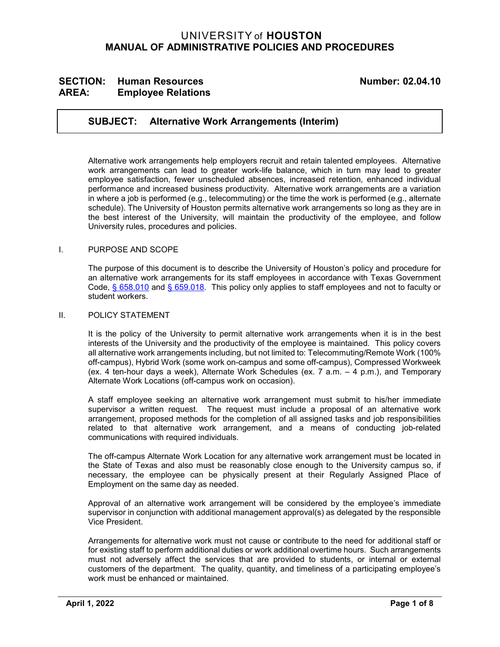# UNIVERSITY of **HOUSTON MANUAL OF ADMINISTRATIVE POLICIES AND PROCEDURES**

# SECTION: Human Resources<br>
AREA: Employee Relations<br>
AREA: Employee Relations **AREA: Employee Relations**

## **SUBJECT: Alternative Work Arrangements (Interim)**

Alternative work arrangements help employers recruit and retain talented employees. Alternative work arrangements can lead to greater work-life balance, which in turn may lead to greater employee satisfaction, fewer unscheduled absences, increased retention, enhanced individual performance and increased business productivity. Alternative work arrangements are a variation in where a job is performed (e.g., telecommuting) or the time the work is performed (e.g., alternate schedule). The University of Houston permits alternative work arrangements so long as they are in the best interest of the University, will maintain the productivity of the employee, and follow University rules, procedures and policies.

## I. PURPOSE AND SCOPE

The purpose of this document is to describe the University of Houston's policy and procedure for an alternative work arrangements for its staff employees in accordance with Texas Government Code, [§ 658.010](http://www.statutes.legis.state.tx.us/Docs/GV/htm/GV.658.htm#658.010) and [§ 659.018.](http://www.statutes.legis.state.tx.us/Docs/GV/htm/GV.659.htm#659.018) This policy only applies to staff employees and not to faculty or student workers.

## II. POLICY STATEMENT

It is the policy of the University to permit alternative work arrangements when it is in the best interests of the University and the productivity of the employee is maintained. This policy covers all alternative work arrangements including, but not limited to: Telecommuting/Remote Work (100% off-campus), Hybrid Work (some work on-campus and some off-campus), Compressed Workweek (ex. 4 ten-hour days a week), Alternate Work Schedules (ex. 7 a.m. – 4 p.m.), and Temporary Alternate Work Locations (off-campus work on occasion).

A staff employee seeking an alternative work arrangement must submit to his/her immediate supervisor a written request. The request must include a proposal of an alternative work arrangement, proposed methods for the completion of all assigned tasks and job responsibilities related to that alternative work arrangement, and a means of conducting job-related communications with required individuals.

The off-campus Alternate Work Location for any alternative work arrangement must be located in the State of Texas and also must be reasonably close enough to the University campus so, if necessary, the employee can be physically present at their Regularly Assigned Place of Employment on the same day as needed.

Approval of an alternative work arrangement will be considered by the employee's immediate supervisor in conjunction with additional management approval(s) as delegated by the responsible Vice President.

Arrangements for alternative work must not cause or contribute to the need for additional staff or for existing staff to perform additional duties or work additional overtime hours. Such arrangements must not adversely affect the services that are provided to students, or internal or external customers of the department. The quality, quantity, and timeliness of a participating employee's work must be enhanced or maintained.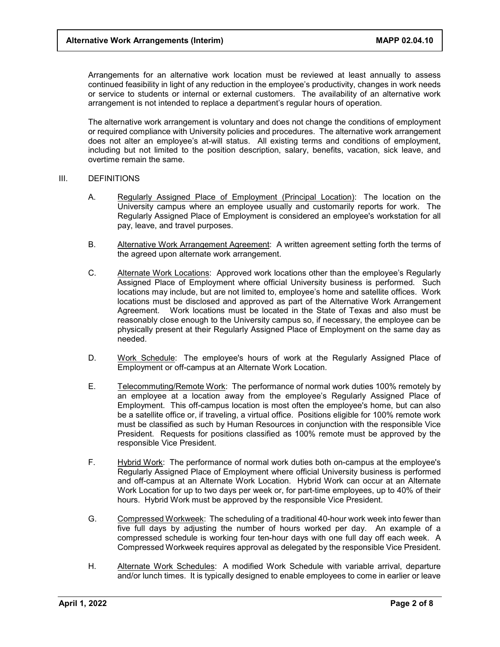Arrangements for an alternative work location must be reviewed at least annually to assess continued feasibility in light of any reduction in the employee's productivity, changes in work needs or service to students or internal or external customers. The availability of an alternative work arrangement is not intended to replace a department's regular hours of operation.

The alternative work arrangement is voluntary and does not change the conditions of employment or required compliance with University policies and procedures. The alternative work arrangement does not alter an employee's at-will status. All existing terms and conditions of employment, including but not limited to the position description, salary, benefits, vacation, sick leave, and overtime remain the same.

#### III. DEFINITIONS

- A. Regularly Assigned Place of Employment (Principal Location): The location on the University campus where an employee usually and customarily reports for work. The Regularly Assigned Place of Employment is considered an employee's workstation for all pay, leave, and travel purposes.
- B. Alternative Work Arrangement Agreement: A written agreement setting forth the terms of the agreed upon alternate work arrangement.
- C. Alternate Work Locations: Approved work locations other than the employee's Regularly Assigned Place of Employment where official University business is performed. Such locations may include, but are not limited to, employee's home and satellite offices. Work locations must be disclosed and approved as part of the Alternative Work Arrangement Agreement. Work locations must be located in the State of Texas and also must be reasonably close enough to the University campus so, if necessary, the employee can be physically present at their Regularly Assigned Place of Employment on the same day as needed.
- D. Work Schedule: The employee's hours of work at the Regularly Assigned Place of Employment or off-campus at an Alternate Work Location.
- E. Telecommuting/Remote Work: The performance of normal work duties 100% remotely by an employee at a location away from the employee's Regularly Assigned Place of Employment. This off-campus location is most often the employee's home, but can also be a satellite office or, if traveling, a virtual office. Positions eligible for 100% remote work must be classified as such by Human Resources in conjunction with the responsible Vice President. Requests for positions classified as 100% remote must be approved by the responsible Vice President.
- F. Hybrid Work: The performance of normal work duties both on-campus at the employee's Regularly Assigned Place of Employment where official University business is performed and off-campus at an Alternate Work Location. Hybrid Work can occur at an Alternate Work Location for up to two days per week or, for part-time employees, up to 40% of their hours. Hybrid Work must be approved by the responsible Vice President.
- G. Compressed Workweek: The scheduling of a traditional 40-hour work week into fewer than five full days by adjusting the number of hours worked per day. An example of a compressed schedule is working four ten-hour days with one full day off each week. A Compressed Workweek requires approval as delegated by the responsible Vice President.
- H. Alternate Work Schedules: A modified Work Schedule with variable arrival, departure and/or lunch times. It is typically designed to enable employees to come in earlier or leave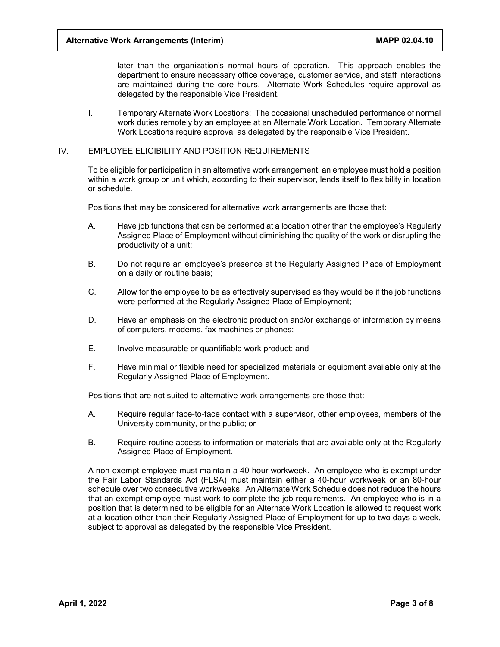later than the organization's normal hours of operation. This approach enables the department to ensure necessary office coverage, customer service, and staff interactions are maintained during the core hours. Alternate Work Schedules require approval as delegated by the responsible Vice President.

I. Temporary Alternate Work Locations: The occasional unscheduled performance of normal work duties remotely by an employee at an Alternate Work Location. Temporary Alternate Work Locations require approval as delegated by the responsible Vice President.

## IV. EMPLOYEE ELIGIBILITY AND POSITION REQUIREMENTS

To be eligible for participation in an alternative work arrangement, an employee must hold a position within a work group or unit which, according to their supervisor, lends itself to flexibility in location or schedule.

Positions that may be considered for alternative work arrangements are those that:

- A. Have job functions that can be performed at a location other than the employee's Regularly Assigned Place of Employment without diminishing the quality of the work or disrupting the productivity of a unit;
- B. Do not require an employee's presence at the Regularly Assigned Place of Employment on a daily or routine basis;
- C. Allow for the employee to be as effectively supervised as they would be if the job functions were performed at the Regularly Assigned Place of Employment;
- D. Have an emphasis on the electronic production and/or exchange of information by means of computers, modems, fax machines or phones;
- E. Involve measurable or quantifiable work product; and
- F. Have minimal or flexible need for specialized materials or equipment available only at the Regularly Assigned Place of Employment.

Positions that are not suited to alternative work arrangements are those that:

- A. Require regular face-to-face contact with a supervisor, other employees, members of the University community, or the public; or
- B. Require routine access to information or materials that are available only at the Regularly Assigned Place of Employment.

A non-exempt employee must maintain a 40-hour workweek. An employee who is exempt under the Fair Labor Standards Act (FLSA) must maintain either a 40-hour workweek or an 80-hour schedule over two consecutive workweeks. An Alternate Work Schedule does not reduce the hours that an exempt employee must work to complete the job requirements. An employee who is in a position that is determined to be eligible for an Alternate Work Location is allowed to request work at a location other than their Regularly Assigned Place of Employment for up to two days a week, subject to approval as delegated by the responsible Vice President.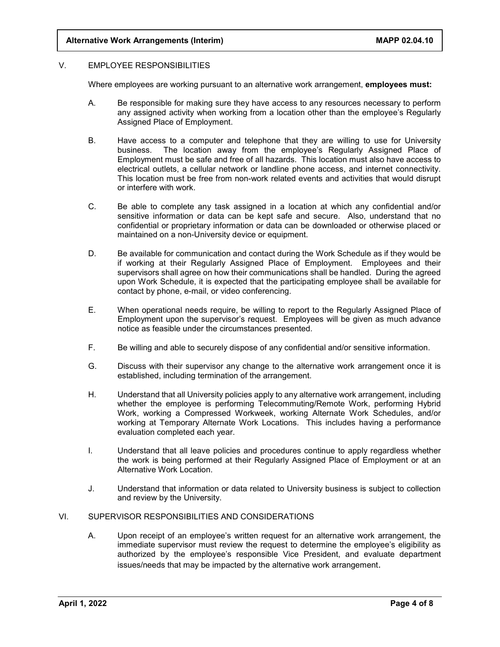## V. EMPLOYEE RESPONSIBILITIES

Where employees are working pursuant to an alternative work arrangement, **employees must:**

- A. Be responsible for making sure they have access to any resources necessary to perform any assigned activity when working from a location other than the employee's Regularly Assigned Place of Employment.
- B. Have access to a computer and telephone that they are willing to use for University business. The location away from the employee's Regularly Assigned Place of Employment must be safe and free of all hazards. This location must also have access to electrical outlets, a cellular network or landline phone access, and internet connectivity. This location must be free from non-work related events and activities that would disrupt or interfere with work.
- C. Be able to complete any task assigned in a location at which any confidential and/or sensitive information or data can be kept safe and secure. Also, understand that no confidential or proprietary information or data can be downloaded or otherwise placed or maintained on a non-University device or equipment.
- D. Be available for communication and contact during the Work Schedule as if they would be if working at their Regularly Assigned Place of Employment. Employees and their supervisors shall agree on how their communications shall be handled. During the agreed upon Work Schedule, it is expected that the participating employee shall be available for contact by phone, e-mail, or video conferencing.
- E. When operational needs require, be willing to report to the Regularly Assigned Place of Employment upon the supervisor's request. Employees will be given as much advance notice as feasible under the circumstances presented.
- F. Be willing and able to securely dispose of any confidential and/or sensitive information.
- G. Discuss with their supervisor any change to the alternative work arrangement once it is established, including termination of the arrangement.
- H. Understand that all University policies apply to any alternative work arrangement, including whether the employee is performing Telecommuting/Remote Work, performing Hybrid Work, working a Compressed Workweek, working Alternate Work Schedules, and/or working at Temporary Alternate Work Locations. This includes having a performance evaluation completed each year.
- I. Understand that all leave policies and procedures continue to apply regardless whether the work is being performed at their Regularly Assigned Place of Employment or at an Alternative Work Location.
- J. Understand that information or data related to University business is subject to collection and review by the University.

## VI. SUPERVISOR RESPONSIBILITIES AND CONSIDERATIONS

A. Upon receipt of an employee's written request for an alternative work arrangement, the immediate supervisor must review the request to determine the employee's eligibility as authorized by the employee's responsible Vice President, and evaluate department issues/needs that may be impacted by the alternative work arrangement.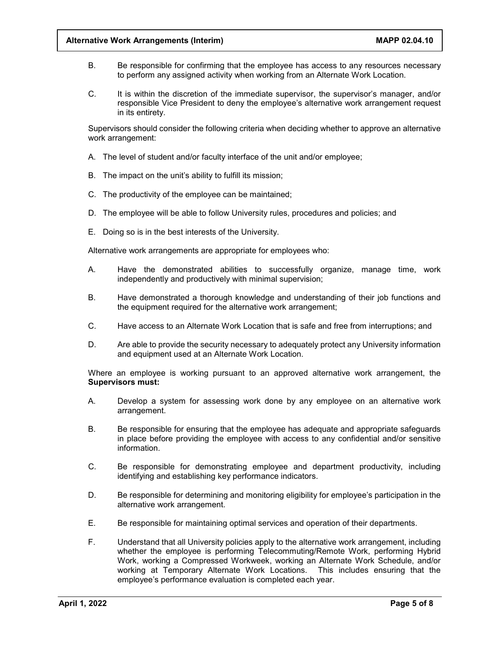- B. Be responsible for confirming that the employee has access to any resources necessary to perform any assigned activity when working from an Alternate Work Location.
- C. It is within the discretion of the immediate supervisor, the supervisor's manager, and/or responsible Vice President to deny the employee's alternative work arrangement request in its entirety.

Supervisors should consider the following criteria when deciding whether to approve an alternative work arrangement:

- A. The level of student and/or faculty interface of the unit and/or employee;
- B. The impact on the unit's ability to fulfill its mission;
- C. The productivity of the employee can be maintained;
- D. The employee will be able to follow University rules, procedures and policies; and
- E. Doing so is in the best interests of the University.

Alternative work arrangements are appropriate for employees who:

- A. Have the demonstrated abilities to successfully organize, manage time, work independently and productively with minimal supervision;
- B. Have demonstrated a thorough knowledge and understanding of their job functions and the equipment required for the alternative work arrangement;
- C. Have access to an Alternate Work Location that is safe and free from interruptions; and
- D. Are able to provide the security necessary to adequately protect any University information and equipment used at an Alternate Work Location.

Where an employee is working pursuant to an approved alternative work arrangement, the **Supervisors must:**

- A. Develop a system for assessing work done by any employee on an alternative work arrangement.
- B. Be responsible for ensuring that the employee has adequate and appropriate safeguards in place before providing the employee with access to any confidential and/or sensitive information.
- C. Be responsible for demonstrating employee and department productivity, including identifying and establishing key performance indicators.
- D. Be responsible for determining and monitoring eligibility for employee's participation in the alternative work arrangement.
- E. Be responsible for maintaining optimal services and operation of their departments.
- F. Understand that all University policies apply to the alternative work arrangement, including whether the employee is performing Telecommuting/Remote Work, performing Hybrid Work, working a Compressed Workweek, working an Alternate Work Schedule, and/or working at Temporary Alternate Work Locations. This includes ensuring that the employee's performance evaluation is completed each year.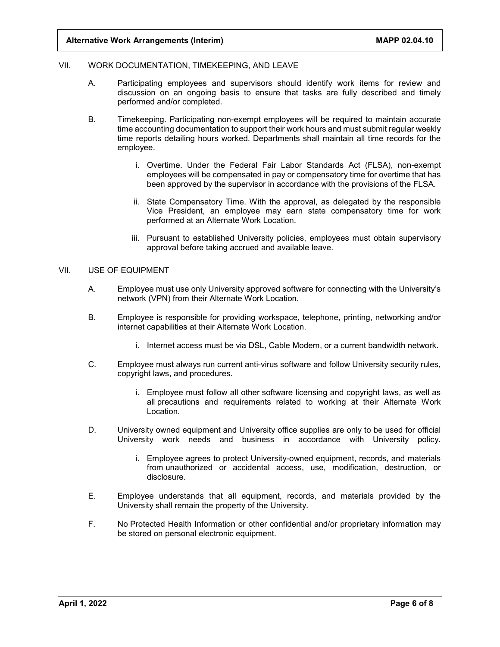### VII. WORK DOCUMENTATION, TIMEKEEPING, AND LEAVE

- A. Participating employees and supervisors should identify work items for review and discussion on an ongoing basis to ensure that tasks are fully described and timely performed and/or completed.
- B. Timekeeping. Participating non-exempt employees will be required to maintain accurate time accounting documentation to support their work hours and must submit regular weekly time reports detailing hours worked. Departments shall maintain all time records for the employee.
	- i. Overtime. Under the Federal Fair Labor Standards Act (FLSA), non-exempt employees will be compensated in pay or compensatory time for overtime that has been approved by the supervisor in accordance with the provisions of the FLSA.
	- ii. State Compensatory Time. With the approval, as delegated by the responsible Vice President, an employee may earn state compensatory time for work performed at an Alternate Work Location.
	- iii. Pursuant to established University policies, employees must obtain supervisory approval before taking accrued and available leave.

## VII. USE OF EQUIPMENT

- A. Employee must use only University approved software for connecting with the University's network (VPN) from their Alternate Work Location.
- B. Employee is responsible for providing workspace, telephone, printing, networking and/or internet capabilities at their Alternate Work Location.
	- i. Internet access must be via DSL, Cable Modem, or a current bandwidth network.
- C. Employee must always run current anti-virus software and follow University security rules, copyright laws, and procedures.
	- i. Employee must follow all other software licensing and copyright laws, as well as all precautions and requirements related to working at their Alternate Work Location.
- D. University owned equipment and University office supplies are only to be used for official University work needs and business in accordance with University policy.
	- i. Employee agrees to protect University-owned equipment, records, and materials from unauthorized or accidental access, use, modification, destruction, or disclosure.
- E. Employee understands that all equipment, records, and materials provided by the University shall remain the property of the University.
- F. No Protected Health Information or other confidential and/or proprietary information may be stored on personal electronic equipment.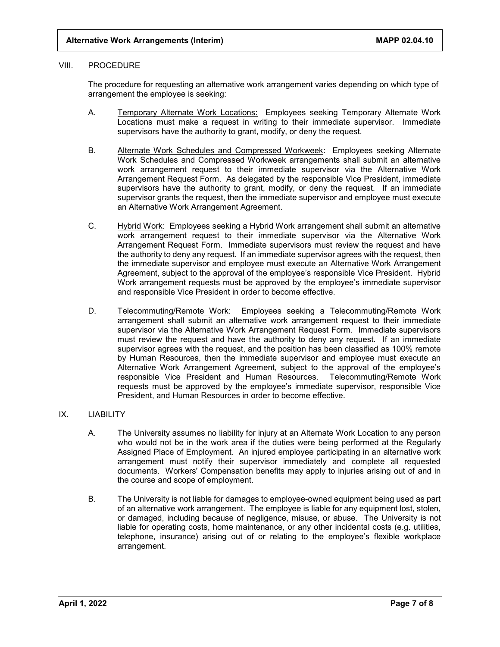## VIII. PROCEDURE

The procedure for requesting an alternative work arrangement varies depending on which type of arrangement the employee is seeking:

- A. Temporary Alternate Work Locations: Employees seeking Temporary Alternate Work Locations must make a request in writing to their immediate supervisor. Immediate supervisors have the authority to grant, modify, or deny the request.
- B. Alternate Work Schedules and Compressed Workweek: Employees seeking Alternate Work Schedules and Compressed Workweek arrangements shall submit an alternative work arrangement request to their immediate supervisor via the Alternative Work Arrangement Request Form. As delegated by the responsible Vice President, immediate supervisors have the authority to grant, modify, or deny the request. If an immediate supervisor grants the request, then the immediate supervisor and employee must execute an Alternative Work Arrangement Agreement.
- C. Hybrid Work: Employees seeking a Hybrid Work arrangement shall submit an alternative work arrangement request to their immediate supervisor via the Alternative Work Arrangement Request Form. Immediate supervisors must review the request and have the authority to deny any request. If an immediate supervisor agrees with the request, then the immediate supervisor and employee must execute an Alternative Work Arrangement Agreement, subject to the approval of the employee's responsible Vice President. Hybrid Work arrangement requests must be approved by the employee's immediate supervisor and responsible Vice President in order to become effective.
- D. Telecommuting/Remote Work: Employees seeking a Telecommuting/Remote Work arrangement shall submit an alternative work arrangement request to their immediate supervisor via the Alternative Work Arrangement Request Form. Immediate supervisors must review the request and have the authority to deny any request. If an immediate supervisor agrees with the request, and the position has been classified as 100% remote by Human Resources, then the immediate supervisor and employee must execute an Alternative Work Arrangement Agreement, subject to the approval of the employee's responsible Vice President and Human Resources. Telecommuting/Remote Work requests must be approved by the employee's immediate supervisor, responsible Vice President, and Human Resources in order to become effective.

## IX. LIABILITY

- A. The University assumes no liability for injury at an Alternate Work Location to any person who would not be in the work area if the duties were being performed at the Regularly Assigned Place of Employment. An injured employee participating in an alternative work arrangement must notify their supervisor immediately and complete all requested documents. Workers' Compensation benefits may apply to injuries arising out of and in the course and scope of employment.
- B. The University is not liable for damages to employee-owned equipment being used as part of an alternative work arrangement. The employee is liable for any equipment lost, stolen, or damaged, including because of negligence, misuse, or abuse. The University is not liable for operating costs, home maintenance, or any other incidental costs (e.g. utilities, telephone, insurance) arising out of or relating to the employee's flexible workplace arrangement.